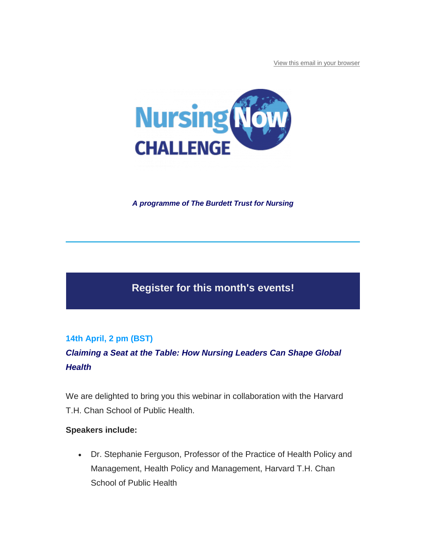[View this email in your browser](https://mailchi.mp/nursingnow/register-for-fridays-nc-conference-to-avoid-disappointment-13647529?e=be03f353fc)



*A programme of The Burdett Trust for Nursing*

# **Register for this month's events!**

# **14th April, 2 pm (BST)**

*Claiming a Seat at the Table: How Nursing Leaders Can Shape Global Health*

We are delighted to bring you this webinar in collaboration with the Harvard T.H. Chan School of Public Health.

#### **Speakers include:**

 Dr. Stephanie Ferguson, Professor of the Practice of Health Policy and Management, Health Policy and Management, Harvard T.H. Chan School of Public Health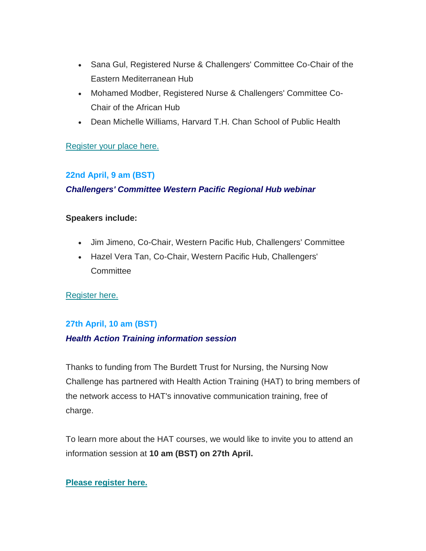- Sana Gul, Registered Nurse & Challengers' Committee Co-Chair of the Eastern Mediterranean Hub
- Mohamed Modber, Registered Nurse & Challengers' Committee Co-Chair of the African Hub
- Dean Michelle Williams, Harvard T.H. Chan School of Public Health

## [Register your place here.](https://appg-globalhealth.us17.list-manage.com/track/click?u=52efad79202f98db32d63c32e&id=0fcb3c14d1&e=be03f353fc)

## **22nd April, 9 am (BST)**

## *Challengers' Committee Western Pacific Regional Hub webinar*

#### **Speakers include:**

- Jim Jimeno, Co-Chair, Western Pacific Hub, Challengers' Committee
- Hazel Vera Tan, Co-Chair, Western Pacific Hub, Challengers' **Committee**

## [Register here.](https://appg-globalhealth.us17.list-manage.com/track/click?u=52efad79202f98db32d63c32e&id=db1ff7c405&e=be03f353fc)

## **27th April, 10 am (BST)**

## *Health Action Training information session*

Thanks to funding from The Burdett Trust for Nursing, the Nursing Now Challenge has partnered with Health Action Training (HAT) to bring members of the network access to HAT's innovative communication training, free of charge.

To learn more about the HAT courses, we would like to invite you to attend an information session at **10 am (BST) on 27th April.**

## **[Please register here.](https://appg-globalhealth.us17.list-manage.com/track/click?u=52efad79202f98db32d63c32e&id=39bd5ffad4&e=be03f353fc)**